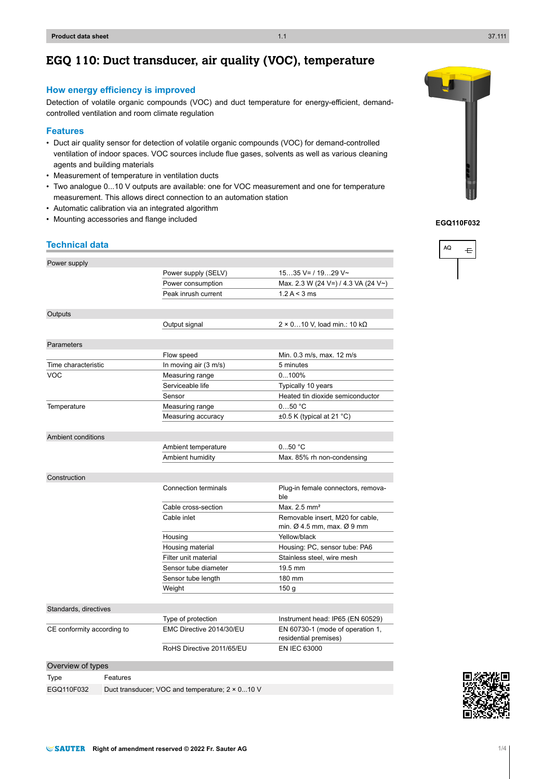# **EGQ 110: Duct transducer, air quality (VOC), temperature**

### **How energy efficiency is improved**

Detection of volatile organic compounds (VOC) and duct temperature for energy-efficient, demandcontrolled ventilation and room climate regulation

#### **Features**

- Duct air quality sensor for detection of volatile organic compounds (VOC) for demand-controlled ventilation of indoor spaces. VOC sources include flue gases, solvents as well as various cleaning agents and building materials
- Measurement of temperature in ventilation ducts
- Two analogue 0...10 V outputs are available: one for VOC measurement and one for temperature measurement. This allows direct connection to an automation station
- Automatic calibration via an integrated algorithm
- Mounting accessories and flange included

#### **Technical data**

| Power supply               |                                                         |                           |                                                                                        |  |
|----------------------------|---------------------------------------------------------|---------------------------|----------------------------------------------------------------------------------------|--|
|                            |                                                         | Power supply (SELV)       | $1535$ V= / 1929 V~                                                                    |  |
|                            |                                                         | Power consumption         | Max. 2.3 W (24 V=) / 4.3 VA (24 V~)                                                    |  |
|                            |                                                         | Peak inrush current       | 1.2 A < 3 ms                                                                           |  |
|                            |                                                         |                           |                                                                                        |  |
| Outputs                    |                                                         |                           |                                                                                        |  |
|                            |                                                         | Output signal             | $2 \times 0$ 10 V, load min.: 10 k $\Omega$                                            |  |
|                            |                                                         |                           |                                                                                        |  |
| Parameters                 |                                                         |                           |                                                                                        |  |
|                            |                                                         | Flow speed                | Min. 0.3 m/s, max. 12 m/s                                                              |  |
| Time characteristic        |                                                         | In moving air (3 m/s)     | 5 minutes                                                                              |  |
| <b>VOC</b>                 |                                                         | Measuring range           | 0100%                                                                                  |  |
|                            |                                                         | Serviceable life          | Typically 10 years                                                                     |  |
|                            |                                                         | Sensor                    | Heated tin dioxide semiconductor                                                       |  |
| Temperature                |                                                         | Measuring range           | 050 °C                                                                                 |  |
|                            |                                                         | Measuring accuracy        | $\pm 0.5$ K (typical at 21 °C)                                                         |  |
|                            |                                                         |                           |                                                                                        |  |
| Ambient conditions         |                                                         |                           |                                                                                        |  |
|                            |                                                         | Ambient temperature       | $050$ °C                                                                               |  |
|                            |                                                         | Ambient humidity          | Max. 85% rh non-condensing                                                             |  |
|                            |                                                         |                           |                                                                                        |  |
| Construction               |                                                         |                           |                                                                                        |  |
|                            |                                                         | Connection terminals      | Plug-in female connectors, remova-                                                     |  |
|                            |                                                         |                           | ble                                                                                    |  |
|                            |                                                         | Cable cross-section       | Max. 2.5 mm <sup>2</sup>                                                               |  |
|                            |                                                         | Cable inlet               | Removable insert, M20 for cable,<br>min. $\varnothing$ 4.5 mm, max. $\varnothing$ 9 mm |  |
|                            |                                                         | Housing                   | Yellow/black                                                                           |  |
|                            |                                                         | Housing material          | Housing: PC, sensor tube: PA6                                                          |  |
|                            |                                                         | Filter unit material      | Stainless steel, wire mesh                                                             |  |
|                            |                                                         | Sensor tube diameter      | 19.5 mm                                                                                |  |
|                            |                                                         | Sensor tube length        | 180 mm                                                                                 |  |
|                            |                                                         | Weight                    | 150 <sub>g</sub>                                                                       |  |
|                            |                                                         |                           |                                                                                        |  |
| Standards, directives      |                                                         |                           |                                                                                        |  |
|                            |                                                         | Type of protection        | Instrument head: IP65 (EN 60529)                                                       |  |
| CE conformity according to |                                                         | EMC Directive 2014/30/EU  | EN 60730-1 (mode of operation 1,                                                       |  |
|                            |                                                         |                           | residential premises)                                                                  |  |
|                            |                                                         | RoHS Directive 2011/65/EU | <b>EN IEC 63000</b>                                                                    |  |
| Overview of types          |                                                         |                           |                                                                                        |  |
| Type                       | Features                                                |                           |                                                                                        |  |
| EGQ110F032                 | Duct transducer: VOC and temperature: $2 \times 0$ 10 V |                           |                                                                                        |  |



**EGQ110F032**



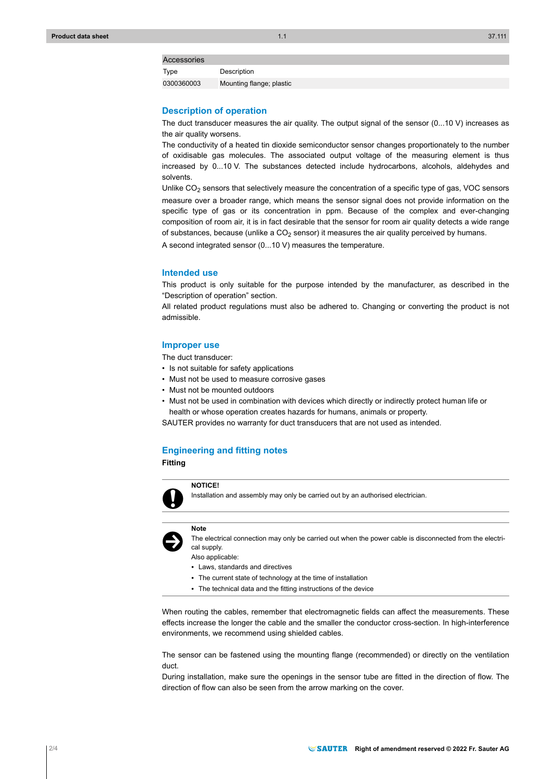#### Accessories

Type Description 0300360003 Mounting flange; plastic

#### **Description of operation**

The duct transducer measures the air quality. The output signal of the sensor (0...10 V) increases as the air quality worsens.

The conductivity of a heated tin dioxide semiconductor sensor changes proportionately to the number of oxidisable gas molecules. The associated output voltage of the measuring element is thus increased by 0...10 V. The substances detected include hydrocarbons, alcohols, aldehydes and solvents.

Unlike  $CO<sub>2</sub>$  sensors that selectively measure the concentration of a specific type of gas, VOC sensors measure over a broader range, which means the sensor signal does not provide information on the specific type of gas or its concentration in ppm. Because of the complex and ever-changing composition of room air, it is in fact desirable that the sensor for room air quality detects a wide range of substances, because (unlike a  $CO<sub>2</sub>$  sensor) it measures the air quality perceived by humans.

A second integrated sensor (0...10 V) measures the temperature.

#### **Intended use**

This product is only suitable for the purpose intended by the manufacturer, as described in the "Description of operation" section.

All related product regulations must also be adhered to. Changing or converting the product is not admissible.

#### **Improper use**

The duct transducer:

- Is not suitable for safety applications
- Must not be used to measure corrosive gases
- Must not be mounted outdoors
- Must not be used in combination with devices which directly or indirectly protect human life or health or whose operation creates hazards for humans, animals or property.

SAUTER provides no warranty for duct transducers that are not used as intended.

#### **Engineering and fitting notes**

**Fitting**



Installation and assembly may only be carried out by an authorised electrician.



**Note**

The electrical connection may only be carried out when the power cable is disconnected from the electrical supply.

Also applicable:

- Laws, standards and directives
- The current state of technology at the time of installation
- The technical data and the fitting instructions of the device

When routing the cables, remember that electromagnetic fields can affect the measurements. These effects increase the longer the cable and the smaller the conductor cross-section. In high-interference environments, we recommend using shielded cables.

The sensor can be fastened using the mounting flange (recommended) or directly on the ventilation duct.

During installation, make sure the openings in the sensor tube are fitted in the direction of flow. The direction of flow can also be seen from the arrow marking on the cover.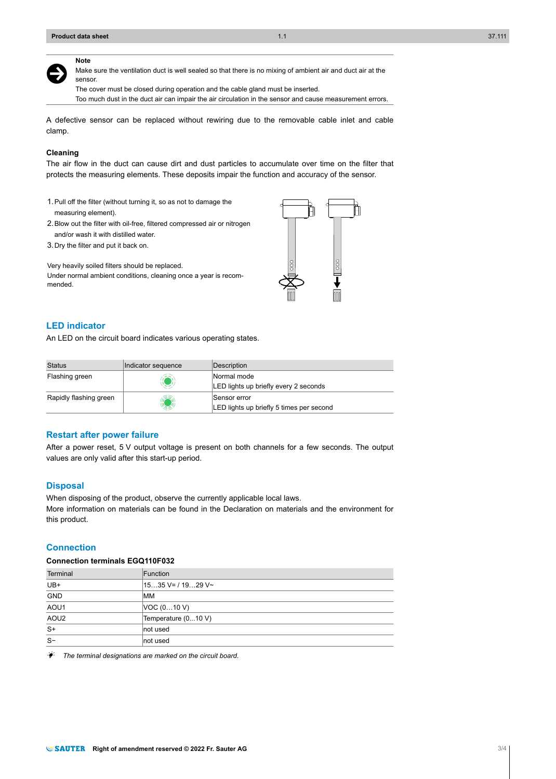**Note**

# $\ddot{\bm{\Theta}}$

Make sure the ventilation duct is well sealed so that there is no mixing of ambient air and duct air at the sensor.

The cover must be closed during operation and the cable gland must be inserted.

Too much dust in the duct air can impair the air circulation in the sensor and cause measurement errors.

A defective sensor can be replaced without rewiring due to the removable cable inlet and cable clamp.

#### **Cleaning**

The air flow in the duct can cause dirt and dust particles to accumulate over time on the filter that protects the measuring elements. These deposits impair the function and accuracy of the sensor.

- 1.Pull off the filter (without turning it, so as not to damage the measuring element).
- 2.Blow out the filter with oil-free, filtered compressed air or nitrogen and/or wash it with distilled water.
- 3.Dry the filter and put it back on.

Very heavily soiled filters should be replaced. Under normal ambient conditions, cleaning once a year is recommended.



# **LED indicator**

An LED on the circuit board indicates various operating states.

| <b>Status</b>          | Indicator sequence | Description                                              |
|------------------------|--------------------|----------------------------------------------------------|
| Flashing green         | w                  | Normal mode<br>LED lights up briefly every 2 seconds     |
| Rapidly flashing green | KOW                | Sensor error<br>LED lights up briefly 5 times per second |

#### **Restart after power failure**

After a power reset, 5 V output voltage is present on both channels for a few seconds. The output values are only valid after this start-up period.

#### **Disposal**

When disposing of the product, observe the currently applicable local laws. More information on materials can be found in the Declaration on materials and the environment for this product.

#### **Connection**

#### **Connection terminals EGQ110F032**

| Terminal         | Function            |
|------------------|---------------------|
| UB+              | $1535$ V= / 1929 V~ |
| <b>GND</b>       | <b>MM</b>           |
| AOU1             | VOC (010 V)         |
| AOU <sub>2</sub> | Temperature (010 V) |
| $S+$             | not used            |
| $S-$             | not used            |

The terminal designations are marked on the circuit board.